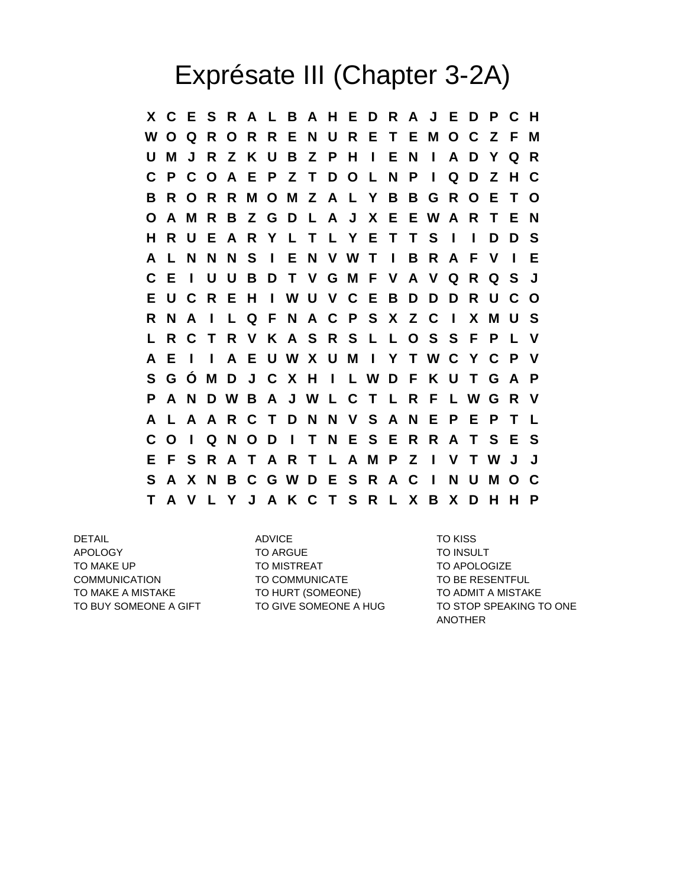## Exprésate III (Chapter 3-2A)

**X C E S R A L B A H E D R A J E D P C H W O Q R O R R E N U R E T E M O C Z F M U M J R Z K U B Z P H I E N I A D Y Q R C P C O A E P Z T D O L N P I Q D Z H C B R O R R M O M Z A L Y B B G R O E T O O A M R B Z G D L A J X E E W A R T E N H R U E A R Y L T L Y E T T S I I D D S A L N N N S I E N V W T I B R A F V I E C E I U U B D T V G M F V A V Q R Q S J E U C R E H I W U V C E B D D D R U C O R N A I L Q F N A C P S X Z C I X M U S L R C T R V K A S R S L L O S S F P L V A E I I A E U W X U M I Y T W C Y C P V S G Ó M D J C X H I L W D F K U T G A P P A N D W B A J W L C T L R F L W G R V A L A A R C T D N N V S A N E P E P T L C O I Q N O D I T N E S E R R A T S E S E F S R A T A R T L A M P Z I V T W J J S A X N B C G W D E S R A C I N U M O C T A V L Y J A K C T S R L X B X D H H P**

APOLOGY TO ARGUE TO ARGUE TO INSULT TO MAKE UP TO MISTREAT TO MISTREAT TO APOLOGIZE COMMUNICATION TO COMMUNICATE TO BE RESENTFUL TO MAKE A MISTAKE TO HURT (SOMEONE) TO ADMIT A MISTAKE

DETAIL ADVICE TO KISS

TO BUY SOMEONE A GIFT TO GIVE SOMEONE A HUG TO STOP SPEAKING TO ONE ANOTHER